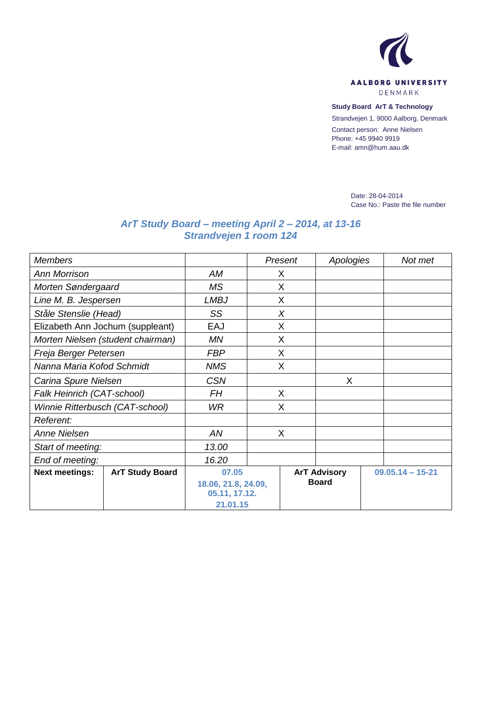

**Study Board ArT & Technology**

Strandvejen 1, 9000 Aalborg, Denmark

Contact person: Anne Nielsen Phone: +45 9940 9919 E-mail: amn@hum.aau.dk

> Date: 28-04-2014 Case No.: Paste the file number

## *ArT Study Board – meeting April 2 – 2014, at 13-16 Strandvejen 1 room 124*

| <b>Members</b>                    |                        |                     |   | Present      | Apologies           |  | Not met            |  |
|-----------------------------------|------------------------|---------------------|---|--------------|---------------------|--|--------------------|--|
| <b>Ann Morrison</b>               |                        | AM                  | X |              |                     |  |                    |  |
| Morten Søndergaard                | MS.                    |                     | X |              |                     |  |                    |  |
| Line M. B. Jespersen              |                        | <b>LMBJ</b>         |   | X            |                     |  |                    |  |
| Ståle Stenslie (Head)             | SS                     |                     | X |              |                     |  |                    |  |
| Elizabeth Ann Jochum (suppleant)  |                        | EAJ                 |   | X            |                     |  |                    |  |
| Morten Nielsen (student chairman) |                        | <b>MN</b>           |   | X            |                     |  |                    |  |
| Freja Berger Petersen             |                        | <b>FBP</b>          |   | X            |                     |  |                    |  |
| Nanna Maria Kofod Schmidt         |                        | <b>NMS</b>          |   | X            |                     |  |                    |  |
| Carina Spure Nielsen              |                        | <b>CSN</b>          |   |              | X                   |  |                    |  |
| Falk Heinrich (CAT-school)        |                        | <b>FH</b>           | X |              |                     |  |                    |  |
| Winnie Ritterbusch (CAT-school)   |                        | WR.                 | X |              |                     |  |                    |  |
| Referent:                         |                        |                     |   |              |                     |  |                    |  |
| Anne Nielsen                      |                        | AN                  | X |              |                     |  |                    |  |
| Start of meeting:                 |                        | 13.00               |   |              |                     |  |                    |  |
| End of meeting:                   |                        | 16.20               |   |              |                     |  |                    |  |
| <b>Next meetings:</b>             | <b>ArT Study Board</b> | 07.05               |   |              | <b>ArT Advisory</b> |  | $09.05.14 - 15-21$ |  |
|                                   |                        | 18.06, 21.8, 24.09, |   | <b>Board</b> |                     |  |                    |  |
|                                   |                        | 05.11, 17.12.       |   |              |                     |  |                    |  |
|                                   |                        | 21.01.15            |   |              |                     |  |                    |  |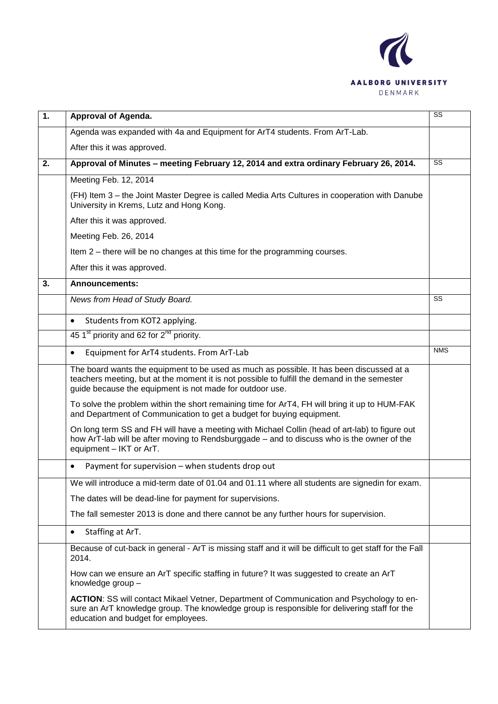

| $\overline{1}$ . | Approval of Agenda.                                                                                                                                                                                                                                  | SS         |  |  |
|------------------|------------------------------------------------------------------------------------------------------------------------------------------------------------------------------------------------------------------------------------------------------|------------|--|--|
|                  | Agenda was expanded with 4a and Equipment for ArT4 students. From ArT-Lab.                                                                                                                                                                           |            |  |  |
|                  | After this it was approved.                                                                                                                                                                                                                          |            |  |  |
| 2.               | Approval of Minutes - meeting February 12, 2014 and extra ordinary February 26, 2014.                                                                                                                                                                |            |  |  |
|                  | Meeting Feb. 12, 2014                                                                                                                                                                                                                                |            |  |  |
|                  | (FH) Item 3 - the Joint Master Degree is called Media Arts Cultures in cooperation with Danube<br>University in Krems, Lutz and Hong Kong.                                                                                                           |            |  |  |
|                  | After this it was approved.                                                                                                                                                                                                                          |            |  |  |
|                  | Meeting Feb. 26, 2014                                                                                                                                                                                                                                |            |  |  |
|                  | Item 2 – there will be no changes at this time for the programming courses.                                                                                                                                                                          |            |  |  |
|                  | After this it was approved.                                                                                                                                                                                                                          |            |  |  |
| 3.               | <b>Announcements:</b>                                                                                                                                                                                                                                |            |  |  |
|                  | News from Head of Study Board.                                                                                                                                                                                                                       | SS         |  |  |
|                  | Students from KOT2 applying.<br>$\bullet$                                                                                                                                                                                                            |            |  |  |
|                  | 45 1 <sup>st</sup> priority and 62 for $2^{nd}$ priority.                                                                                                                                                                                            |            |  |  |
|                  | Equipment for ArT4 students. From ArT-Lab<br>$\bullet$                                                                                                                                                                                               | <b>NMS</b> |  |  |
|                  | The board wants the equipment to be used as much as possible. It has been discussed at a<br>teachers meeting, but at the moment it is not possible to fulfill the demand in the semester<br>guide because the equipment is not made for outdoor use. |            |  |  |
|                  | To solve the problem within the short remaining time for ArT4, FH will bring it up to HUM-FAK<br>and Department of Communication to get a budget for buying equipment.                                                                               |            |  |  |
|                  | On long term SS and FH will have a meeting with Michael Collin (head of art-lab) to figure out<br>how ArT-lab will be after moving to Rendsburggade - and to discuss who is the owner of the<br>equipment - IKT or ArT.                              |            |  |  |
|                  | Payment for supervision – when students drop out                                                                                                                                                                                                     |            |  |  |
|                  | We will introduce a mid-term date of 01.04 and 01.11 where all students are signedin for exam.                                                                                                                                                       |            |  |  |
|                  | The dates will be dead-line for payment for supervisions.                                                                                                                                                                                            |            |  |  |
|                  | The fall semester 2013 is done and there cannot be any further hours for supervision.                                                                                                                                                                |            |  |  |
|                  | Staffing at ArT.<br>$\bullet$                                                                                                                                                                                                                        |            |  |  |
|                  | Because of cut-back in general - ArT is missing staff and it will be difficult to get staff for the Fall<br>2014.                                                                                                                                    |            |  |  |
|                  | How can we ensure an ArT specific staffing in future? It was suggested to create an ArT<br>knowledge group -                                                                                                                                         |            |  |  |
|                  | ACTION: SS will contact Mikael Vetner, Department of Communication and Psychology to en-<br>sure an ArT knowledge group. The knowledge group is responsible for delivering staff for the<br>education and budget for employees.                      |            |  |  |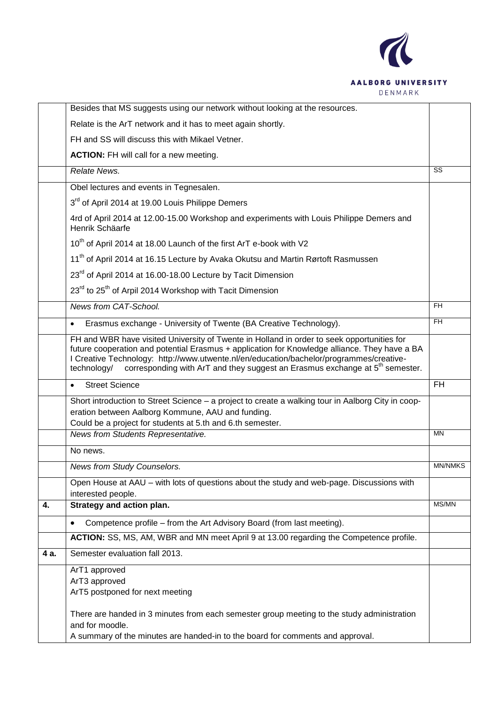

|      | Besides that MS suggests using our network without looking at the resources.                                                                                                                                                                                                                                                                                                                      |                |  |  |
|------|---------------------------------------------------------------------------------------------------------------------------------------------------------------------------------------------------------------------------------------------------------------------------------------------------------------------------------------------------------------------------------------------------|----------------|--|--|
|      | Relate is the ArT network and it has to meet again shortly.                                                                                                                                                                                                                                                                                                                                       |                |  |  |
|      | FH and SS will discuss this with Mikael Vetner.                                                                                                                                                                                                                                                                                                                                                   |                |  |  |
|      | <b>ACTION:</b> FH will call for a new meeting.                                                                                                                                                                                                                                                                                                                                                    |                |  |  |
|      | Relate News.                                                                                                                                                                                                                                                                                                                                                                                      | SS             |  |  |
|      | Obel lectures and events in Tegnesalen.                                                                                                                                                                                                                                                                                                                                                           |                |  |  |
|      | 3 <sup>rd</sup> of April 2014 at 19.00 Louis Philippe Demers                                                                                                                                                                                                                                                                                                                                      |                |  |  |
|      | 4rd of April 2014 at 12.00-15.00 Workshop and experiments with Louis Philippe Demers and<br>Henrik Schäarfe                                                                                                                                                                                                                                                                                       |                |  |  |
|      | 10 <sup>th</sup> of April 2014 at 18.00 Launch of the first ArT e-book with V2                                                                                                                                                                                                                                                                                                                    |                |  |  |
|      | 11 <sup>th</sup> of April 2014 at 16.15 Lecture by Avaka Okutsu and Martin Rørtoft Rasmussen                                                                                                                                                                                                                                                                                                      |                |  |  |
|      | 23 <sup>rd</sup> of April 2014 at 16.00-18.00 Lecture by Tacit Dimension                                                                                                                                                                                                                                                                                                                          |                |  |  |
|      | 23 <sup>rd</sup> to 25 <sup>th</sup> of Arpil 2014 Workshop with Tacit Dimension                                                                                                                                                                                                                                                                                                                  |                |  |  |
|      | News from CAT-School.                                                                                                                                                                                                                                                                                                                                                                             | FH.            |  |  |
|      | Erasmus exchange - University of Twente (BA Creative Technology).<br>$\bullet$                                                                                                                                                                                                                                                                                                                    | FH.            |  |  |
|      | FH and WBR have visited University of Twente in Holland in order to seek opportunities for<br>future cooperation and potential Erasmus + application for Knowledge alliance. They have a BA<br>I Creative Technology: http://www.utwente.nl/en/education/bachelor/programmes/creative-<br>corresponding with ArT and they suggest an Erasmus exchange at 5 <sup>th</sup> semester.<br>technology/ |                |  |  |
|      | <b>Street Science</b><br>$\bullet$                                                                                                                                                                                                                                                                                                                                                                | FH.            |  |  |
|      | Short introduction to Street Science - a project to create a walking tour in Aalborg City in coop-<br>eration between Aalborg Kommune, AAU and funding.<br>Could be a project for students at 5.th and 6.th semester.                                                                                                                                                                             |                |  |  |
|      | News from Students Representative.                                                                                                                                                                                                                                                                                                                                                                | <b>MN</b>      |  |  |
|      | No news.                                                                                                                                                                                                                                                                                                                                                                                          |                |  |  |
|      | News from Study Counselors.                                                                                                                                                                                                                                                                                                                                                                       | <b>MN/NMKS</b> |  |  |
|      | Open House at AAU - with lots of questions about the study and web-page. Discussions with<br>interested people.                                                                                                                                                                                                                                                                                   |                |  |  |
| 4.   | Strategy and action plan.                                                                                                                                                                                                                                                                                                                                                                         | MS/MN          |  |  |
|      | Competence profile - from the Art Advisory Board (from last meeting).<br>$\bullet$                                                                                                                                                                                                                                                                                                                |                |  |  |
|      | ACTION: SS, MS, AM, WBR and MN meet April 9 at 13.00 regarding the Competence profile.                                                                                                                                                                                                                                                                                                            |                |  |  |
| 4 a. | Semester evaluation fall 2013.                                                                                                                                                                                                                                                                                                                                                                    |                |  |  |
|      | ArT1 approved<br>ArT3 approved<br>ArT5 postponed for next meeting<br>There are handed in 3 minutes from each semester group meeting to the study administration<br>and for moodle.                                                                                                                                                                                                                |                |  |  |
|      | A summary of the minutes are handed-in to the board for comments and approval.                                                                                                                                                                                                                                                                                                                    |                |  |  |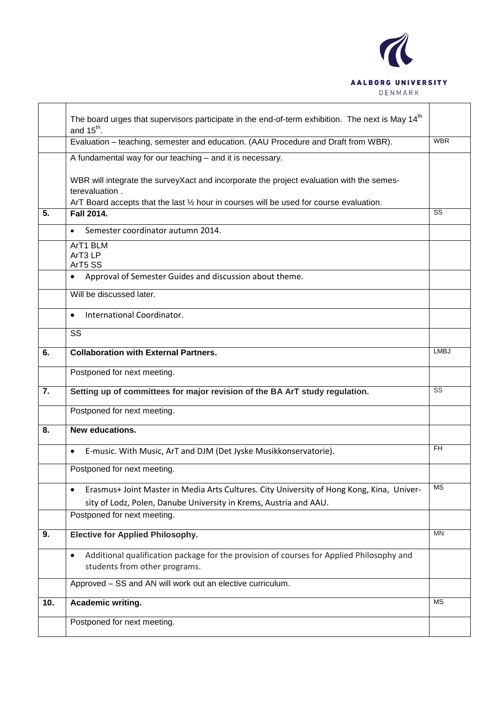

|     | The board urges that supervisors participate in the end-of-term exhibition. The next is May 14 <sup>th</sup><br>and $15^{th}$ .        |             |  |  |  |
|-----|----------------------------------------------------------------------------------------------------------------------------------------|-------------|--|--|--|
|     | Evaluation - teaching, semester and education. (AAU Procedure and Draft from WBR).                                                     |             |  |  |  |
|     | A fundamental way for our teaching - and it is necessary.                                                                              |             |  |  |  |
|     | WBR will integrate the surveyXact and incorporate the project evaluation with the semes-<br>terevaluation.                             |             |  |  |  |
| 5.  | ArT Board accepts that the last 1/2 hour in courses will be used for course evaluation.                                                | SS          |  |  |  |
|     | Fall 2014.                                                                                                                             |             |  |  |  |
|     | Semester coordinator autumn 2014.                                                                                                      |             |  |  |  |
|     | ArT1 BLM<br>ArT <sub>3</sub> LP<br>ArT5 SS                                                                                             |             |  |  |  |
|     | Approval of Semester Guides and discussion about theme.                                                                                |             |  |  |  |
|     | Will be discussed later.                                                                                                               |             |  |  |  |
|     | International Coordinator.<br>$\bullet$                                                                                                |             |  |  |  |
|     | SS                                                                                                                                     |             |  |  |  |
| 6.  | <b>Collaboration with External Partners.</b>                                                                                           | <b>LMBJ</b> |  |  |  |
|     | Postponed for next meeting.                                                                                                            |             |  |  |  |
| 7.  | Setting up of committees for major revision of the BA ArT study regulation.                                                            | SS          |  |  |  |
|     | Postponed for next meeting.                                                                                                            |             |  |  |  |
| 8.  | <b>New educations.</b>                                                                                                                 |             |  |  |  |
|     | E-music. With Music, ArT and DJM (Det Jyske Musikkonservatorie).                                                                       | FH.         |  |  |  |
|     | Postponed for next meeting.                                                                                                            |             |  |  |  |
|     | Erasmus+ Joint Master in Media Arts Cultures. City University of Hong Kong, Kina, Univer-                                              | <b>MS</b>   |  |  |  |
|     | sity of Lodz, Polen, Danube University in Krems, Austria and AAU.                                                                      |             |  |  |  |
|     | Postponed for next meeting.                                                                                                            |             |  |  |  |
| 9.  | <b>Elective for Applied Philosophy.</b>                                                                                                | <b>MN</b>   |  |  |  |
|     | Additional qualification package for the provision of courses for Applied Philosophy and<br>$\bullet$<br>students from other programs. |             |  |  |  |
|     | Approved - SS and AN will work out an elective curriculum.                                                                             |             |  |  |  |
| 10. | Academic writing.                                                                                                                      | <b>MS</b>   |  |  |  |
|     | Postponed for next meeting.                                                                                                            |             |  |  |  |